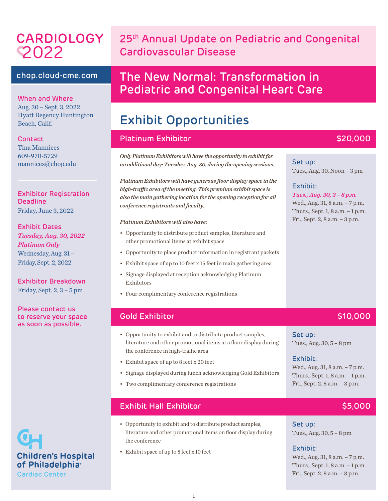# CARDIOLOGY 2022

# 25<sup>th</sup> Annual Update on Pediatric and Congenital Cardiovascular Disease

## chop.cloud-cme.com 2022

When and Where Aug. 30 – Sept. 3, 2022 Hyatt Regency Huntington Beach, Calif.

Contact

Tina Mannices 609-970-5729 mannices@chop.edu

Exhibitor Registration Deadline Friday, June 3, 2022

#### Exhibit Dates *Tuesday, Aug. 30, 2022 Platinum Only* Wednesday, Aug. 31 – Friday, Sept. 2, 2022

Exhibitor Breakdown Friday, Sept. 2, 3 – 5 pm

Please contact us to reserve your space as soon as possible.

**Children's Hospital** of Philadelphia<sup>®</sup> **Cardiac Center** 

# The New Normal: Transformation in **Pediatric and Congenital Heart Care**

# Exhibit Opportunities

#### Platinum Exhibitor **\$20,000** \$20,000

*Only Platinum Exhibitors will have the opportunity to exhibit for an additional day: Tuesday, Aug. 30, during the opening sessions.*

*Platinum Exhibitors will have generous floor display space in the high-traffic area of the meeting. This premium exhibit space is also the main gathering location for the opening reception for all conference registrants and faculty.*

#### *Platinum Exhibitors will also have:*

- Opportunity to distribute product samples, literature and other promotional items at exhibit space
- Opportunity to place product information in registrant packets
- Exhibit space of up to 10 feet x 15 feet in main gathering area
- Signage displayed at reception acknowledging Platinum Exhibitors
- Four complimentary conference registrations

## Gold Exhibitor \$10,000

- Opportunity to exhibit and to distribute product samples, literature and other promotional items at a floor display during the conference in high-traffic area
- Exhibit space of up to 8 feet x 20 feet
- Signage displayed during lunch acknowledging Gold Exhibitors
- Two complimentary conference registrations

## Exhibit Hall Exhibitor \$5,000

- Opportunity to exhibit and to distribute product samples, literature and other promotional items on floor display during the conference
- Exhibit space of up to 8 feet x 10 feet

#### Set up: Tues., Aug. 30, Noon – 3 pm

#### Exhibit:

*Tues., Aug. 30, 3 – 8 p.m.* Wed., Aug. 31, 8 a.m. - 7 p.m. Thurs., Sept. 1, 8 a.m. – 1 p.m. Fri., Sept. 2, 8 a.m. – 3 p.m.

Set up: Tues., Aug. 30, 5 – 8 pm

#### Exhibit:

Wed., Aug. 31, 8 a.m. - 7 p.m. Thurs., Sept. 1, 8 a.m. – 1 p.m. Fri., Sept. 2, 8 a.m. – 3 p.m.

Set up: Tues., Aug. 30, 5 – 8 pm

#### Exhibit:

Wed., Aug. 31, 8 a.m. – 7 p.m. Thurs., Sept. 1, 8 a.m. – 1 p.m. Fri., Sept. 2, 8 a.m. – 3 p.m.